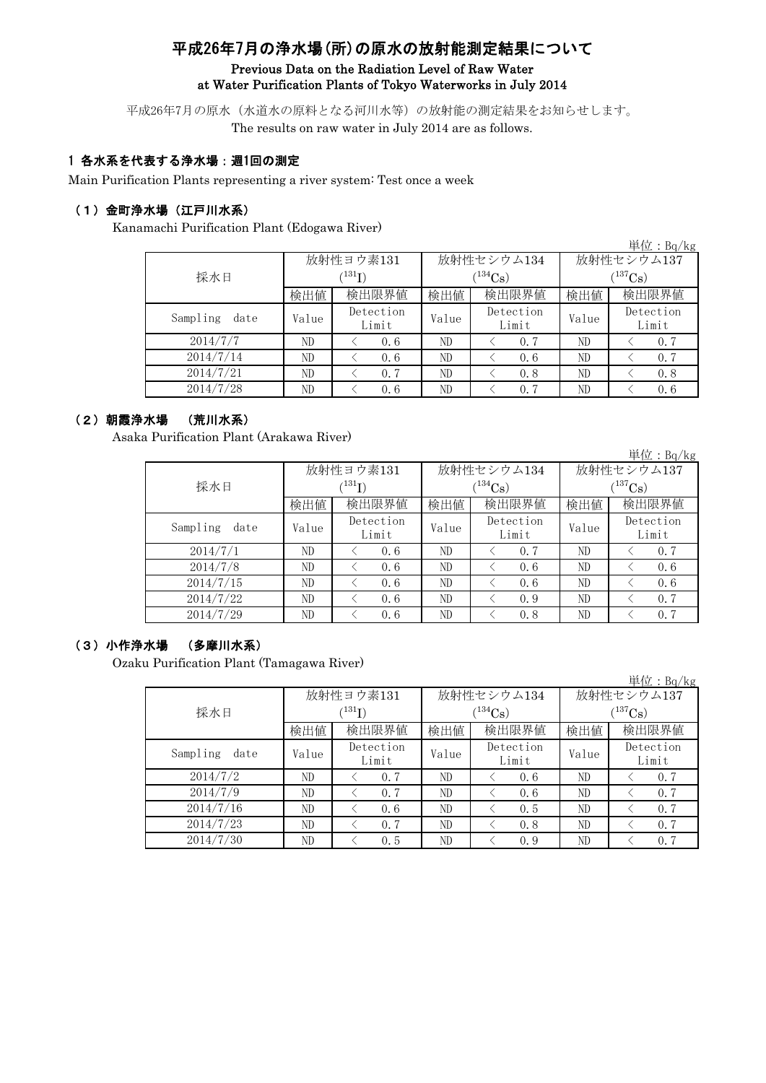# 平成26年7月の浄水場(所)の原水の放射能測定結果について Previous Data on the Radiation Level of Raw Water at Water Purification Plants of Tokyo Waterworks in July 2014

平成26年7月の原水(水道水の原料となる河川水等)の放射能の測定結果をお知らせします。 The results on raw water in July 2014 are as follows.

#### 1 各水系を代表する浄水場:週1回の測定

Main Purification Plants representing a river system: Test once a week

#### (1)金町浄水場(江戸川水系)

Kanamachi Purification Plant (Edogawa River)

|                  |       |                    |       |                    |            | 単位: Bq/kg          |  |
|------------------|-------|--------------------|-------|--------------------|------------|--------------------|--|
|                  |       | 放射性ヨウ素131          |       | 放射性セシウム134         | 放射性セシウム137 |                    |  |
| 採水日              |       | $^{131}$ I)        |       | $(134)$ Cs)        | $137C_8$ ) |                    |  |
|                  | 検出値   | 検出限界値              | 検出値   | 検出限界値              | 検出値        | 検出限界値              |  |
| Sampling<br>date | Value | Detection<br>Limit | Value | Detection<br>Limit | Value      | Detection<br>Limit |  |
| 2014/7/7         | ND.   | 0.6                | ND    | 0.7                | ND         | 0.7                |  |
| 2014/7/14        | ND.   | 0.6                | ND    | 0.6                | ND         | 0.7                |  |
| 2014/7/21        | ND    | 0.7                | ND    | 0.8                | ND         | 0.8                |  |
| 2014/7/28        | ND    | 0.6                | ND    | 0.7                | ND         | 0.6                |  |

#### (2)朝霞浄水場 (荒川水系)

Asaka Purification Plant (Arakawa River)

|                  |                            |                    |       |                    |             | 単位: $Bq/kg$        |  |  |
|------------------|----------------------------|--------------------|-------|--------------------|-------------|--------------------|--|--|
|                  |                            | 放射性ヨウ素131          |       | 放射性セシウム134         |             | 放射性セシウム137         |  |  |
| 採水日              | $^{\prime131} \mathrm{I})$ |                    |       | $(134)$ Cs)        | $(137)$ Cs) |                    |  |  |
|                  | 検出値                        | 検出限界値              | 検出値   | 検出限界値              | 検出値         | 検出限界値              |  |  |
| Sampling<br>date | Value                      | Detection<br>Limit | Value | Detection<br>Limit | Value       | Detection<br>Limit |  |  |
| 2014/7/1         | ND                         | 0.6                | ND    | 0.7                | ND          | 0.7                |  |  |
| 2014/7/8         | ND                         | 0.6                | ND    | 0.6                | ND          | 0.6                |  |  |
| 2014/7/15        | ND                         | 0.6                | ND    | 0.6                | ND          | 0.6                |  |  |
| 2014/7/22        | ND                         | 0.6                | ND    | 0.9                | ND          | 0.7                |  |  |
| 2014/7/29        | ND                         | 0.6                | ND    | 0.8                | ND          | 0.7                |  |  |

#### (3)小作浄水場 (多摩川水系)

Ozaku Purification Plant (Tamagawa River)

|                  |       |                            |       |                    |              | 単位:Bq/kg           |  |
|------------------|-------|----------------------------|-------|--------------------|--------------|--------------------|--|
|                  |       | 放射性ヨウ素131                  |       | 放射性セシウム134         | 放射性セシウム137   |                    |  |
| 採水日              |       | $^{\prime131} \mathrm{I})$ |       | $(134)$ Cs)        | $(^{137}Cs)$ |                    |  |
|                  | 検出値   | 検出限界値                      | 検出値   | 検出限界値              | 検出値          | 検出限界値              |  |
| Sampling<br>date | Value | Detection<br>Limit         | Value | Detection<br>Limit | Value        | Detection<br>Limit |  |
| 2014/7/2         | ND    | 0.7                        | ND    | 0.6                | ND           | 0.7                |  |
| 2014/7/9         | ND    | 0.7                        | ND    | 0.6                | ND.          | 0.7                |  |
| 2014/7/16        | ND.   | 0.6                        | ND    | 0.5                | ND           | 0.7                |  |
| 2014/7/23        | ND.   | 0.7                        | ND    | 0.8                | ND           | 0.7                |  |
| 2014/7/30        | ND.   | 0.5                        | ND    | 0.9                | ND.          | 0.7                |  |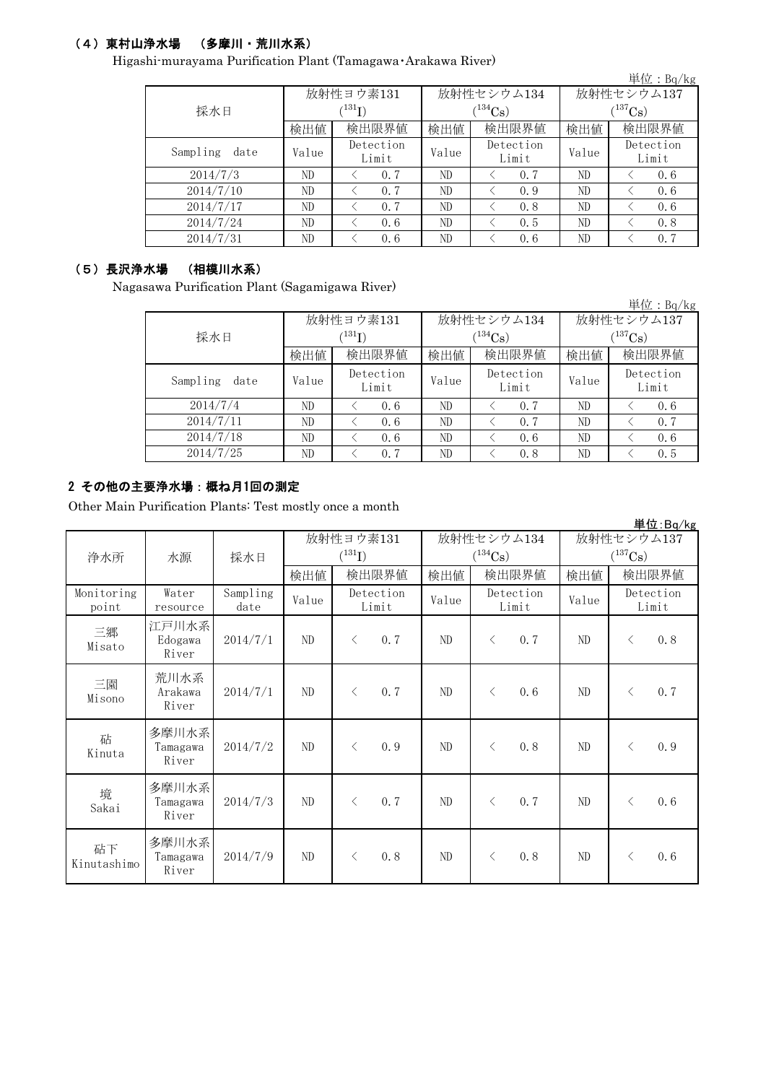# (4)東村山浄水場 (多摩川・荒川水系)

Higashi-murayama Purification Plant (Tamagawa・Arakawa River)

|                  |       |                             |       |                    |              | 単位: Bq/kg          |  |
|------------------|-------|-----------------------------|-------|--------------------|--------------|--------------------|--|
|                  |       | 放射性ヨウ素131                   |       | 放射性セシウム134         | 放射性セシウム137   |                    |  |
| 採水日              |       | $^{\prime 131} \mathrm{I})$ |       | $(134)$ Cs         | $(^{137}Cs)$ |                    |  |
|                  | 検出値   | 検出限界値                       | 検出値   | 検出限界値              | 検出値          | 検出限界値              |  |
| Sampling<br>date | Value | Detection<br>Limit          | Value | Detection<br>Limit | Value        | Detection<br>Limit |  |
| 2014/7/3         | ND    | 0.7                         | ND    | 0.7                | ND           | 0.6                |  |
| 2014/7/10        | ND    | 0.7                         | ND    | 0.9                | ND           | 0, 6               |  |
| 2014/7/17        | ND    | 0.7                         | ND    | 0.8                | ND           | 0.6                |  |
| 2014/7/24        | ND    | 0, 6                        | ND    | 0.5                | ND           | 0.8                |  |
| 2014/7/31        | ND.   | 0.6                         | ND    | 0.6                | ND           | 0.7                |  |

#### (5)長沢浄水場 (相模川水系)

Nagasawa Purification Plant (Sagamigawa River)

|                  |                             |                    |       |                    |             | 単位: $Bq/kg$        |  |
|------------------|-----------------------------|--------------------|-------|--------------------|-------------|--------------------|--|
|                  |                             | 放射性ヨウ素131          |       | 放射性セシウム134         | 放射性セシウム137  |                    |  |
| 採水日              | $\langle ^{131}\mathrm{I})$ |                    |       | $(134)$ Cs)        | $(137)$ Cs) |                    |  |
|                  | 検出値                         | 検出限界値              | 検出値   | 検出限界値              | 検出値         | 検出限界値              |  |
| Sampling<br>date | Value                       | Detection<br>Limit | Value | Detection<br>Limit | Value       | Detection<br>Limit |  |
| 2014/7/4         | ND.                         | 0.6                | ND    | 0.7                | ND          | 0.6                |  |
| 2014/7/11        | ND                          | 0.6                | ND    | 0.7                | ND          | 0.7                |  |
| 2014/7/18        | ND.                         | 0.6                | ND    | 0.6                | ND          | 0.6                |  |
| 2014/7/25        | ND                          | 0.7                | ND    | 0.8                | ND          | 0.5                |  |

#### 2 その他の主要浄水場:概ね月1回の測定

Other Main Purification Plants: Test mostly once a month

|                     |                            |                  |       |                    |       |                       |            | 単位:Bq/kg              |
|---------------------|----------------------------|------------------|-------|--------------------|-------|-----------------------|------------|-----------------------|
|                     |                            |                  |       | 放射性ヨウ素131          |       | 放射性セシウム134            | 放射性セシウム137 |                       |
| 浄水所                 | 水源                         | 採水日              |       | $(^{131}I)$        |       | $(^{134}\mathrm{Cs})$ |            | $(^{137}\mathrm{Cs})$ |
|                     |                            |                  | 検出値   | 検出限界値              | 検出値   | 検出限界値                 | 検出値        | 検出限界値                 |
| Monitoring<br>point | Water<br>resource          | Sampling<br>date | Value | Detection<br>Limit | Value | Detection<br>Limit    | Value      | Detection<br>Limit    |
| 三郷<br>Misato        | 江戸川水系<br>Edogawa<br>River  | 2014/7/1         | ND    | 0.7<br>$\lt$       | ND    | 0.7<br>$\lt$          | ND         | 0.8<br>$\langle$      |
| 三園<br>Misono        | 荒川水系<br>Arakawa<br>River   | 2014/7/1         | ND    | 0.7<br>$\langle$   | ND    | 0.6<br>$\langle$      | ND         | 0.7<br>$\langle$      |
| 砧<br>Kinuta         | 多摩川水系<br>Tamagawa<br>River | 2014/7/2         | ND    | 0.9<br>$\lt$       | ND    | 0.8<br>$\langle$      | ND         | 0.9<br>$\lt$          |
| 境<br>Sakai          | 多摩川水系<br>Tamagawa<br>River | 2014/7/3         | ND    | 0.7<br>$\lt$       | ND    | 0.7<br>$\lt$          | ND         | 0.6<br>$\lt$          |
| 砧下<br>Kinutashimo   | 多摩川水系<br>Tamagawa<br>River | 2014/7/9         | ND    | 0.8<br>$\lt$       | ND    | 0.8<br>$\lt$          | ND         | 0.6<br>$\langle$      |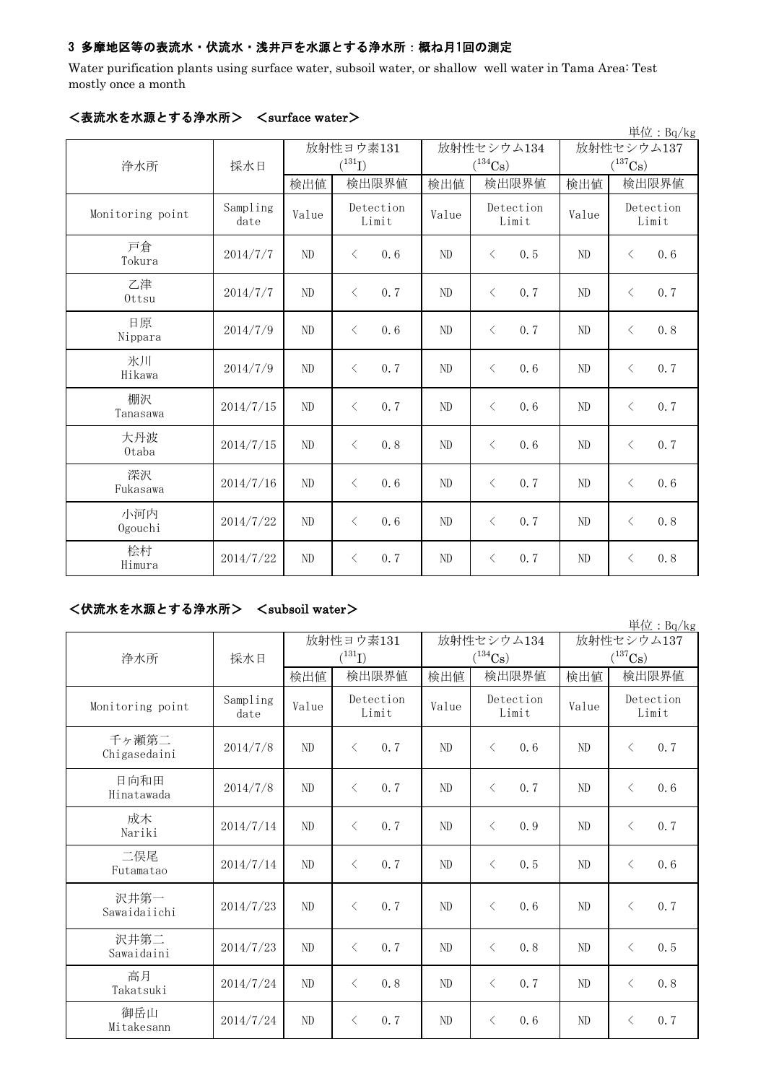## 3 多摩地区等の表流水・伏流水・浅井戸を水源とする浄水所:概ね月1回の測定

Water purification plants using surface water, subsoil water, or shallow well water in Tama Area: Test mostly once a month

|                  |                  |                |                    |       |                    |                | 単位: $Bq/kg$        |
|------------------|------------------|----------------|--------------------|-------|--------------------|----------------|--------------------|
|                  |                  | 放射性ヨウ素131      |                    |       | 放射性セシウム134         | 放射性セシウム137     |                    |
| 浄水所              | 採水日              |                | $(^{131}I)$        |       | $(^{134}Cs)$       | $(^{137}Cs)$   |                    |
|                  |                  | 検出値            | 検出限界値              | 検出値   | 検出限界値              | 検出値            | 検出限界値              |
| Monitoring point | Sampling<br>date | Value          | Detection<br>Limit | Value | Detection<br>Limit | Value          | Detection<br>Limit |
| 戸倉<br>Tokura     | 2014/7/7         | ND             | 0.6<br>$\langle$   | ND    | 0.5<br>$\langle$   | ND             | 0.6<br>$\lt$       |
| 乙津<br>Ottsu      | 2014/7/7         | N <sub>D</sub> | 0.7<br>$\langle$   | ND    | $\lt$<br>0.7       | N <sub>D</sub> | 0.7<br>$\lt$       |
| 日原<br>Nippara    | 2014/7/9         | ND             | $\lt$<br>0.6       | ND    | $\lt$<br>0.7       | ND             | 0.8<br>$\lt$       |
| 氷川<br>Hikawa     | 2014/7/9         | ND             | $\langle$<br>0.7   | ND    | 0.6<br>$\lt$       | ND             | 0.7<br>$\langle$   |
| 棚沢<br>Tanasawa   | 2014/7/15        | ND             | 0.7<br>$\langle$   | ND    | 0.6<br>$\langle$   | ND             | 0.7<br>$\langle$   |
| 大丹波<br>0taba     | 2014/7/15        | ND             | 0.8<br>$\langle$   | ND    | $\langle$<br>0.6   | ND             | 0.7<br>$\langle$   |
| 深沢<br>Fukasawa   | 2014/7/16        | ND             | 0, 6<br>$\langle$  | ND    | 0, 7<br>$\lt$      | ND             | 0.6<br>$\lt$       |
| 小河内<br>Ogouchi   | 2014/7/22        | ND             | 0.6<br>$\langle$   | ND    | 0.7<br>$\langle$   | ND             | 0.8<br>$\langle$   |
| 桧村<br>Himura     | 2014/7/22        | ND             | 0.7<br>$\langle$   | ND    | 0.7<br>$\langle$   | ND             | 0.8<br>$\langle$   |

## <表流水を水源とする浄水所> <surface water>

## <伏流水を水源とする浄水所> <subsoil water>

|                       |                  |                |                    |                |                       |                | 単位: Bq/kg             |  |
|-----------------------|------------------|----------------|--------------------|----------------|-----------------------|----------------|-----------------------|--|
|                       |                  |                | 放射性ヨウ素131          |                | 放射性セシウム134            |                | 放射性セシウム137            |  |
| 浄水所                   | 採水日              |                | $(^{131}I)$        |                | $(^{134}\mathrm{Cs})$ |                | $(^{137}\mathrm{Cs})$ |  |
|                       |                  | 検出値            | 検出限界値              | 検出値            | 検出限界値                 | 検出値            | 検出限界値                 |  |
| Monitoring point      | Sampling<br>date | Value          | Detection<br>Limit | Value          | Detection<br>Limit    | Value          | Detection<br>Limit    |  |
| 千ヶ瀬第二<br>Chigasedaini | 2014/7/8         | ND             | 0.7<br>$\langle$   | ND             | $\langle$<br>0.6      | ND             | 0.7<br>$\langle$      |  |
| 日向和田<br>Hinatawada    | 2014/7/8         | N <sub>D</sub> | 0.7<br>$\langle$   | N <sub>D</sub> | $\langle$<br>0.7      | N <sub>D</sub> | 0.6<br>$\langle$      |  |
| 成木<br>Nariki          | 2014/7/14        | ND             | 0.7<br>$\lt$       | N <sub>D</sub> | $\langle$<br>0.9      | ND             | 0.7<br>$\langle$      |  |
| 二俣尾<br>Futamatao      | 2014/7/14        | ND             | 0.7<br>$\langle$   | N <sub>D</sub> | 0.5<br>$\lt$          | ND             | $\langle$<br>0.6      |  |
| 沢井第一<br>Sawaidaiichi  | 2014/7/23        | N <sub>D</sub> | 0.7<br>$\langle$   | N <sub>D</sub> | 0.6<br>$\lt$          | ND             | 0.7<br>$\langle$      |  |
| 沢井第二<br>Sawaidaini    | 2014/7/23        | ND             | 0.7<br>$\langle$   | N <sub>D</sub> | 0, 8<br>$\langle$     | ND             | 0.5<br>$\lt$          |  |
| 高月<br>Takatsuki       | 2014/7/24        | ND             | 0.8<br>$\lt$       | N <sub>D</sub> | 0.7<br>$\langle$      | ND             | 0.8<br>$\langle$      |  |
| 御岳山<br>Mitakesann     | 2014/7/24        | ND             | 0.7<br>$\langle$   | ND             | $\lt$<br>0, 6         | ND             | 0.7<br>$\langle$      |  |